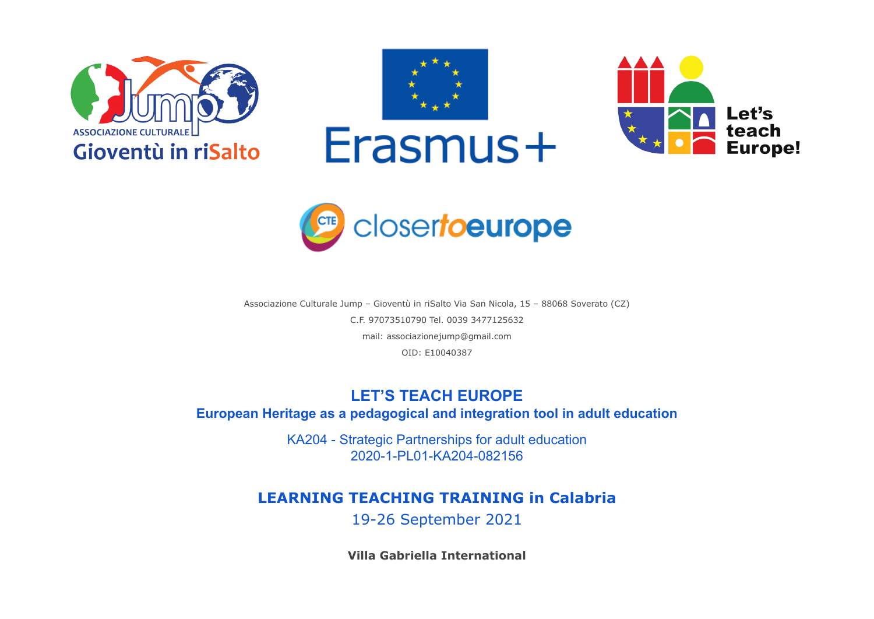







Associazione Culturale Jump – Gioventù in riSalto Via San Nicola, 15 – 88068 Soverato (CZ) C.F. 97073510790 Tel. 0039 3477125632 mail: associazionejump@gmail.com OID: E10040387

## **LET'S TEACH EUROPE**

**European Heritage as a pedagogical and integration tool in adult education**

KA204 - Strategic Partnerships for adult education 2020-1-PL01-KA204-082156

## **LEARNING TEACHING TRAINING in Calabria**

19-26 September 2021

**Villa Gabriella International**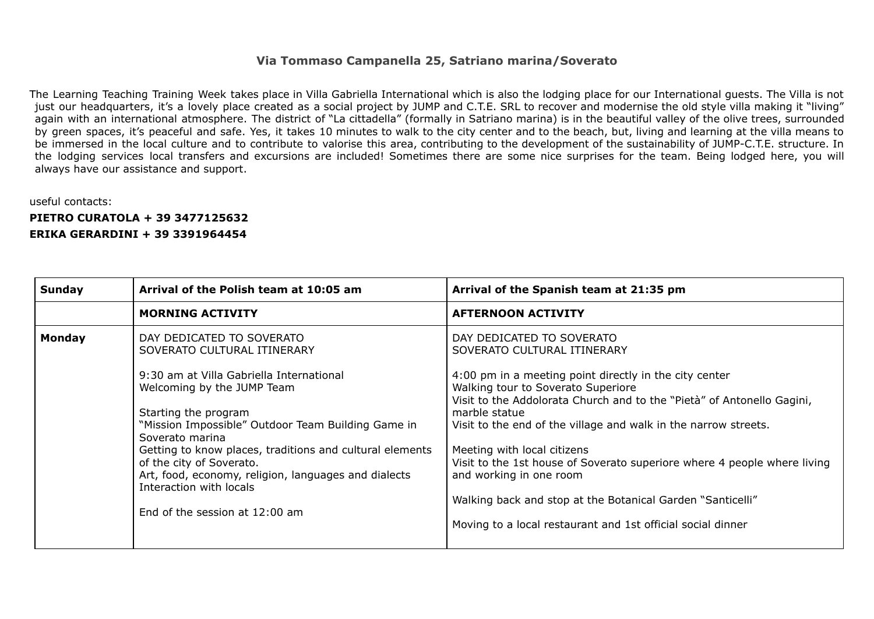## **Via Tommaso Campanella 25, Satriano marina/Soverato**

The Learning Teaching Training Week takes place in Villa Gabriella International which is also the lodging place for our International guests. The Villa is not just our headquarters, it's a lovely place created as a social project by JUMP and C.T.E. SRL to recover and modernise the old style villa making it "living" again with an international atmosphere. The district of "La cittadella" (formally in Satriano marina) is in the beautiful valley of the olive trees, surrounded by green spaces, it's peaceful and safe. Yes, it takes 10 minutes to walk to the city center and to the beach, but, living and learning at the villa means to be immersed in the local culture and to contribute to valorise this area, contributing to the development of the sustainability of JUMP-C.T.E. structure. In the lodging services local transfers and excursions are included! Sometimes there are some nice surprises for the team. Being lodged here, you will always have our assistance and support.

## useful contacts:

**PIETRO CURATOLA + 39 3477125632 ERIKA GERARDINI + 39 3391964454**

| Sunday        | Arrival of the Polish team at 10:05 am                                                                                                                                                                                                                                                                                                                                                                         | Arrival of the Spanish team at 21:35 pm                                                                                                                                                                                                                                                                                                                                                                                                                                                                                    |
|---------------|----------------------------------------------------------------------------------------------------------------------------------------------------------------------------------------------------------------------------------------------------------------------------------------------------------------------------------------------------------------------------------------------------------------|----------------------------------------------------------------------------------------------------------------------------------------------------------------------------------------------------------------------------------------------------------------------------------------------------------------------------------------------------------------------------------------------------------------------------------------------------------------------------------------------------------------------------|
|               | <b>MORNING ACTIVITY</b>                                                                                                                                                                                                                                                                                                                                                                                        | <b>AFTERNOON ACTIVITY</b>                                                                                                                                                                                                                                                                                                                                                                                                                                                                                                  |
| <b>Monday</b> | DAY DEDICATED TO SOVERATO<br>SOVERATO CULTURAL ITINERARY<br>9:30 am at Villa Gabriella International<br>Welcoming by the JUMP Team<br>Starting the program<br>"Mission Impossible" Outdoor Team Building Game in<br>Soverato marina<br>Getting to know places, traditions and cultural elements<br>of the city of Soverato.<br>Art, food, economy, religion, languages and dialects<br>Interaction with locals | DAY DEDICATED TO SOVERATO<br>SOVERATO CULTURAL ITINERARY<br>4:00 pm in a meeting point directly in the city center<br>Walking tour to Soverato Superiore<br>Visit to the Addolorata Church and to the "Pietà" of Antonello Gagini,<br>marble statue<br>Visit to the end of the village and walk in the narrow streets.<br>Meeting with local citizens<br>Visit to the 1st house of Soverato superiore where 4 people where living<br>and working in one room<br>Walking back and stop at the Botanical Garden "Santicelli" |
|               | End of the session at 12:00 am                                                                                                                                                                                                                                                                                                                                                                                 | Moving to a local restaurant and 1st official social dinner                                                                                                                                                                                                                                                                                                                                                                                                                                                                |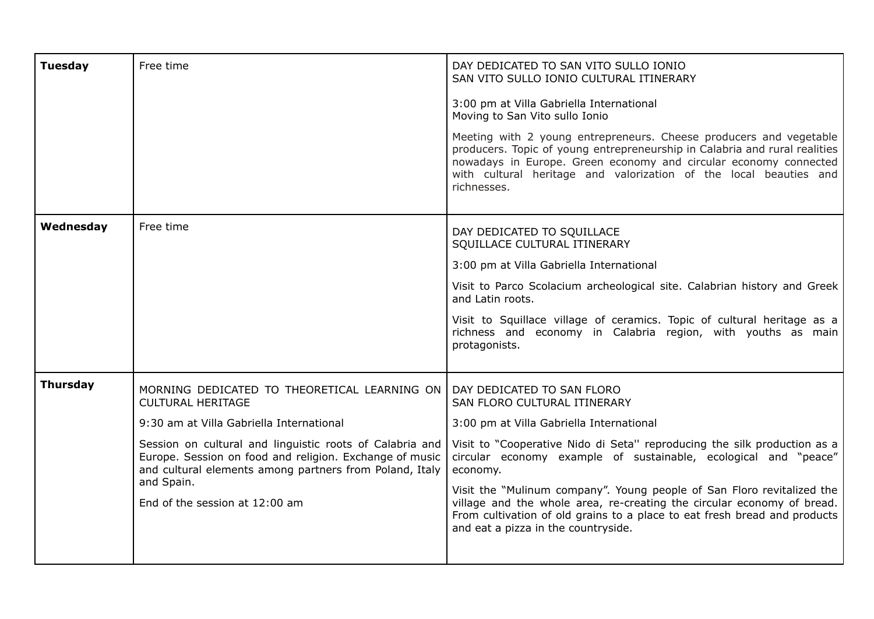| <b>Tuesday</b>  | Free time                                                                                                                                                                                                                                                                                                                                              | DAY DEDICATED TO SAN VITO SULLO IONIO<br>SAN VITO SULLO IONIO CULTURAL ITINERARY<br>3:00 pm at Villa Gabriella International<br>Moving to San Vito sullo Ionio<br>Meeting with 2 young entrepreneurs. Cheese producers and vegetable<br>producers. Topic of young entrepreneurship in Calabria and rural realities<br>nowadays in Europe. Green economy and circular economy connected<br>with cultural heritage and valorization of the local beauties and<br>richnesses.                                                                |
|-----------------|--------------------------------------------------------------------------------------------------------------------------------------------------------------------------------------------------------------------------------------------------------------------------------------------------------------------------------------------------------|-------------------------------------------------------------------------------------------------------------------------------------------------------------------------------------------------------------------------------------------------------------------------------------------------------------------------------------------------------------------------------------------------------------------------------------------------------------------------------------------------------------------------------------------|
| Wednesday       | Free time                                                                                                                                                                                                                                                                                                                                              | DAY DEDICATED TO SQUILLACE<br>SQUILLACE CULTURAL ITINERARY<br>3:00 pm at Villa Gabriella International<br>Visit to Parco Scolacium archeological site. Calabrian history and Greek<br>and Latin roots.<br>Visit to Squillace village of ceramics. Topic of cultural heritage as a<br>richness and economy in Calabria region, with youths as main<br>protagonists.                                                                                                                                                                        |
| <b>Thursday</b> | MORNING DEDICATED TO THEORETICAL LEARNING ON<br><b>CULTURAL HERITAGE</b><br>9:30 am at Villa Gabriella International<br>Session on cultural and linguistic roots of Calabria and<br>Europe. Session on food and religion. Exchange of music<br>and cultural elements among partners from Poland, Italy<br>and Spain.<br>End of the session at 12:00 am | DAY DEDICATED TO SAN FLORO<br>SAN FLORO CULTURAL ITINERARY<br>3:00 pm at Villa Gabriella International<br>Visit to "Cooperative Nido di Seta" reproducing the silk production as a<br>circular economy example of sustainable, ecological and "peace"<br>economy.<br>Visit the "Mulinum company". Young people of San Floro revitalized the<br>village and the whole area, re-creating the circular economy of bread.<br>From cultivation of old grains to a place to eat fresh bread and products<br>and eat a pizza in the countryside. |